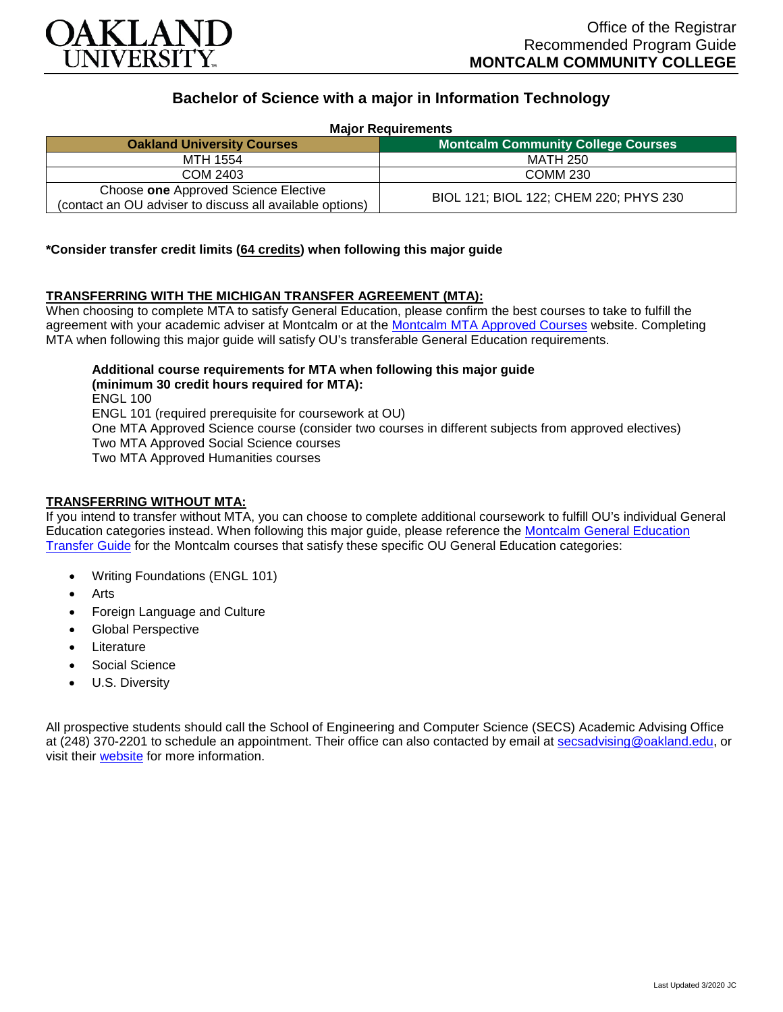

# **Bachelor of Science with a major in Information Technology**

**Major Requirements**

| <b>Oakland University Courses</b>                                                                | <b>Montcalm Community College Courses</b> |
|--------------------------------------------------------------------------------------------------|-------------------------------------------|
| MTH 1554                                                                                         | MATH 250                                  |
| COM 2403                                                                                         | <b>COMM 230</b>                           |
| Choose one Approved Science Elective<br>(contact an OU adviser to discuss all available options) | BIOL 121; BIOL 122; CHEM 220; PHYS 230    |

#### **\*Consider transfer credit limits (64 credits) when following this major guide**

## **TRANSFERRING WITH THE MICHIGAN TRANSFER AGREEMENT (MTA):**

When choosing to complete MTA to satisfy General Education, please confirm the best courses to take to fulfill the agreement with your academic adviser at Montcalm or at the [Montcalm MTA Approved Courses](https://www.montcalm.edu/counseling/transfer/) website. Completing MTA when following this major guide will satisfy OU's transferable General Education requirements.

**Additional course requirements for MTA when following this major guide (minimum 30 credit hours required for MTA):** ENGL 100 ENGL 101 (required prerequisite for coursework at OU) One MTA Approved Science course (consider two courses in different subjects from approved electives) Two MTA Approved Social Science courses Two MTA Approved Humanities courses

# **TRANSFERRING WITHOUT MTA:**

If you intend to transfer without MTA, you can choose to complete additional coursework to fulfill OU's individual General Education categories instead. When following this major guide, please reference the [Montcalm General Education](https://www.oakland.edu/Assets/Oakland/program-guides/montcalm-community-college/university-general-education-requirements/Montcalm%20Gen%20Ed.pdf)  [Transfer Guide](https://www.oakland.edu/Assets/Oakland/program-guides/montcalm-community-college/university-general-education-requirements/Montcalm%20Gen%20Ed.pdf) for the Montcalm courses that satisfy these specific OU General Education categories:

- Writing Foundations (ENGL 101)
- Arts
- Foreign Language and Culture
- Global Perspective
- **Literature**
- Social Science
- U.S. Diversity

All prospective students should call the School of Engineering and Computer Science (SECS) Academic Advising Office at (248) 370-2201 to schedule an appointment. Their office can also contacted by email at [secsadvising@oakland.edu,](mailto:secsadvising@oakland.edu) or visit their [website](https://wwwp.oakland.edu/secs/advising/) for more information.